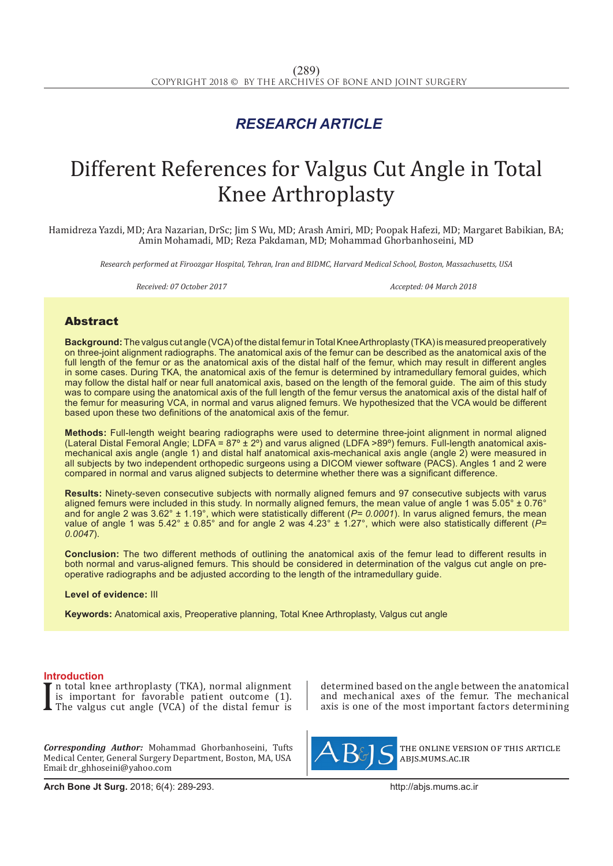## *RESEARCH ARTICLE*

# Different References for Valgus Cut Angle in Total Knee Arthroplasty

Hamidreza Yazdi, MD; Ara Nazarian, DrSc; Jim S Wu, MD; Arash Amiri, MD; Poopak Hafezi, MD; Margaret Babikian, BA; Amin Mohamadi, MD; Reza Pakdaman, MD; Mohammad Ghorbanhoseini, MD

*Research performed at Firoozgar Hospital, Tehran, Iran and BIDMC, Harvard Medical School, Boston, Massachusetts, USA*

*Received: 07 October 2017 Accepted: 04 March 2018*

### Abstract

**Background:** The valgus cut angle (VCA) of the distal femur in Total Knee Arthroplasty (TKA) is measured preoperatively on three-joint alignment radiographs. The anatomical axis of the femur can be described as the anatomical axis of the full length of the femur or as the anatomical axis of the distal half of the femur, which may result in different angles in some cases. During TKA, the anatomical axis of the femur is determined by intramedullary femoral guides, which may follow the distal half or near full anatomical axis, based on the length of the femoral guide. The aim of this study was to compare using the anatomical axis of the full length of the femur versus the anatomical axis of the distal half of the femur for measuring VCA, in normal and varus aligned femurs. We hypothesized that the VCA would be different based upon these two definitions of the anatomical axis of the femur.

**Methods:** Full-length weight bearing radiographs were used to determine three-joint alignment in normal aligned (Lateral Distal Femoral Angle; LDFA =  $87^\circ \pm 2^\circ$ ) and varus aligned (LDFA >89°) femurs. Full-length anatomical axismechanical axis angle (angle 1) and distal half anatomical axis-mechanical axis angle (angle 2) were measured in all subjects by two independent orthopedic surgeons using a DICOM viewer software (PACS). Angles 1 and 2 were compared in normal and varus aligned subjects to determine whether there was a significant difference.

**Results:** Ninety-seven consecutive subjects with normally aligned femurs and 97 consecutive subjects with varus aligned femurs were included in this study. In normally aligned femurs, the mean value of angle 1 was 5.05° ± 0.76° and for angle 2 was 3.62° ± 1.19°, which were statistically different (*P= 0.0001*). In varus aligned femurs, the mean value of angle 1 was 5.42° ± 0.85° and for angle 2 was 4.23° ± 1.27°, which were also statistically different (*P= 0.0047*).

**Conclusion:** The two different methods of outlining the anatomical axis of the femur lead to different results in both normal and varus-aligned femurs. This should be considered in determination of the valgus cut angle on preoperative radiographs and be adjusted according to the length of the intramedullary guide.

#### **Level of evidence:** III

**Keywords:** Anatomical axis, Preoperative planning, Total Knee Arthroplasty, Valgus cut angle

#### **Introduction**

I n total knee arthroplasty (TKA), normal alignment is important for favorable patient outcome (1). The valgus cut angle (VCA) of the distal femur is

*Corresponding Author:* Mohammad Ghorbanhoseini, Tufts Medical Center, General Surgery Department, Boston, MA, USA Email: dr\_ghhoseini@yahoo.com

determined based on the angle between the anatomical and mechanical axes of the femur. The mechanical axis is one of the most important factors determining



the online version of this article abjs.mums.ac.ir

**Arch Bone Jt Surg.** 2018; 6(4): 289-293.http://abjs.mums.ac.ir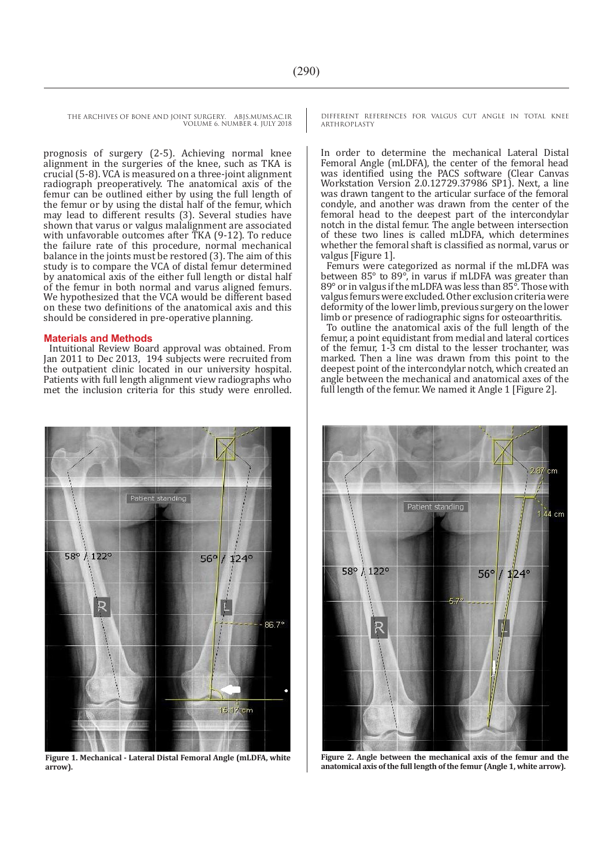prognosis of surgery (2-5). Achieving normal knee alignment in the surgeries of the knee, such as TKA is crucial (5-8). VCA is measured on a three-joint alignment radiograph preoperatively. The anatomical axis of the femur can be outlined either by using the full length of the femur or by using the distal half of the femur, which may lead to different results (3). Several studies have shown that varus or valgus malalignment are associated with unfavorable outcomes after TKA (9-12). To reduce the failure rate of this procedure, normal mechanical balance in the joints must be restored (3). The aim of this study is to compare the VCA of distal femur determined by anatomical axis of the either full length or distal half of the femur in both normal and varus aligned femurs. We hypothesized that the VCA would be different based on these two definitions of the anatomical axis and this should be considered in pre-operative planning.

#### **Materials and Methods**

Intuitional Review Board approval was obtained. From Jan 2011 to Dec 2013, 194 subjects were recruited from the outpatient clinic located in our university hospital. Patients with full length alignment view radiographs who met the inclusion criteria for this study were enrolled.



**Figure 1. Mechanical - Lateral Distal Femoral Angle (mLDFA, white arrow).** 

DIFFERENT REFERENCES FOR VALGUS CUT ANGLE IN TOTAL KNEE ARTHROPLASTY

In order to determine the mechanical Lateral Distal Femoral Angle (mLDFA), the center of the femoral head was identified using the PACS software (Clear Canvas Workstation Version 2.0.12729.37986 SP1). Next, a line was drawn tangent to the articular surface of the femoral condyle, and another was drawn from the center of the femoral head to the deepest part of the intercondylar notch in the distal femur. The angle between intersection of these two lines is called mLDFA, which determines whether the femoral shaft is classified as normal, varus or valgus [Figure 1].

Femurs were categorized as normal if the mLDFA was between 85° to 89°, in varus if mLDFA was greater than 89° or in valgus if the mLDFA was less than 85°. Those with valgus femurs were excluded. Other exclusion criteria were deformity of the lower limb, previous surgery on the lower limb or presence of radiographic signs for osteoarthritis.

To outline the anatomical axis of the full length of the femur, a point equidistant from medial and lateral cortices of the femur, 1-3 cm distal to the lesser trochanter, was marked. Then a line was drawn from this point to the deepest point of the intercondylar notch, which created an angle between the mechanical and anatomical axes of the full length of the femur. We named it Angle 1 [Figure 2].



**Figure 2. Angle between the mechanical axis of the femur and the anatomical axis of the full length of the femur (Angle 1, white arrow).**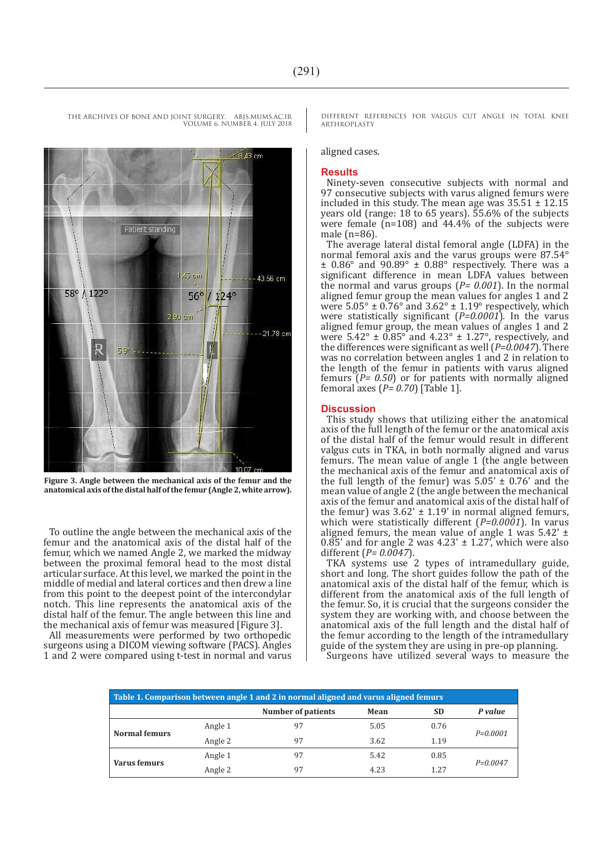

**Figure 3. Angle between the mechanical axis of the femur and the anatomical axis of the distal half of the femur (Angle 2, white arrow).**

To outline the angle between the mechanical axis of the femur and the anatomical axis of the distal half of the femur, which we named Angle 2, we marked the midway between the proximal femoral head to the most distal articular surface. At this level, we marked the point in the middle of medial and lateral cortices and then drew a line from this point to the deepest point of the intercondylar notch. This line represents the anatomical axis of the distal half of the femur. The angle between this line and the mechanical axis of femur was measured [Figure 3].

All measurements were performed by two orthopedic surgeons using a DICOM viewing software (PACS). Angles 1 and 2 were compared using t-test in normal and varus DIFFERENT REFERENCES FOR VALGUS CUT ANGLE IN TOTAL KNEE **ARTHROPLASTY** 

#### aligned cases.

#### **Results**

Ninety-seven consecutive subjects with normal and 97 consecutive subjects with varus aligned femurs were included in this study. The mean age was  $35.51 \pm 12.15$ years old (range: 18 to 65 years). 55.6% of the subjects were female (n=108) and 44.4% of the subjects were male (n=86).

The average lateral distal femoral angle (LDFA) in the normal femoral axis and the varus groups were 87.54°  $\pm$  0.86° and 90.89°  $\pm$  0.88° respectively. There was a significant difference in mean LDFA values between the normal and varus groups (*P= 0.001*). In the normal aligned femur group the mean values for angles 1 and 2 were  $5.05^{\circ} \pm 0.76^{\circ}$  and  $3.62^{\circ} \pm 1.19^{\circ}$  respectively, which were statistically significant (*P=0.0001*). In the varus aligned femur group, the mean values of angles 1 and 2 were  $5.42^{\circ} \pm 0.85^{\circ}$  and  $4.23^{\circ} \pm 1.27^{\circ}$ , respectively, and the differences were significant as well (*P=0.0047*). There was no correlation between angles 1 and 2 in relation to the length of the femur in patients with varus aligned femurs (*P= 0.50*) or for patients with normally aligned femoral axes (*P= 0.70*) [Table 1].

#### **Discussion**

This study shows that utilizing either the anatomical axis of the full length of the femur or the anatomical axis of the distal half of the femur would result in different valgus cuts in TKA, in both normally aligned and varus femurs. The mean value of angle  $1$  (the angle between the mechanical axis of the femur and anatomical axis of the full length of the femur) was  $5.05' \pm 0.76'$  and the mean value of angle 2 (the angle between the mechanical axis of the femur and anatomical axis of the distal half of the femur) was  $3.62' \pm 1.19'$  in normal aligned femurs, which were statistically different (*P=0.0001*). In varus aligned femurs, the mean value of angle 1 was  $5.42'$   $\pm$  $0.85'$  and for angle 2 was  $4.23' \pm 1.27'$ , which were also different (*P= 0.0047*).

TKA systems use 2 types of intramedullary guide, short and long. The short guides follow the path of the anatomical axis of the distal half of the femur, which is different from the anatomical axis of the full length of the femur. So, it is crucial that the surgeons consider the system they are working with, and choose between the anatomical axis of the full length and the distal half of the femur according to the length of the intramedullary guide of the system they are using in pre-op planning.

Surgeons have utilized several ways to measure the

| Table 1. Comparison between angle 1 and 2 in normal aligned and varus aligned femurs |         |                           |      |           |              |  |  |
|--------------------------------------------------------------------------------------|---------|---------------------------|------|-----------|--------------|--|--|
|                                                                                      |         | <b>Number of patients</b> | Mean | <b>SD</b> | P value      |  |  |
| <b>Normal femurs</b>                                                                 | Angle 1 | 97                        | 5.05 | 0.76      | $P = 0.0001$ |  |  |
|                                                                                      | Angle 2 | 97                        | 3.62 | 1.19      |              |  |  |
| Varus femurs                                                                         | Angle 1 | 97                        | 5.42 | 0.85      | $P = 0.0047$ |  |  |
|                                                                                      | Angle 2 | 97                        | 4.23 | 1.27      |              |  |  |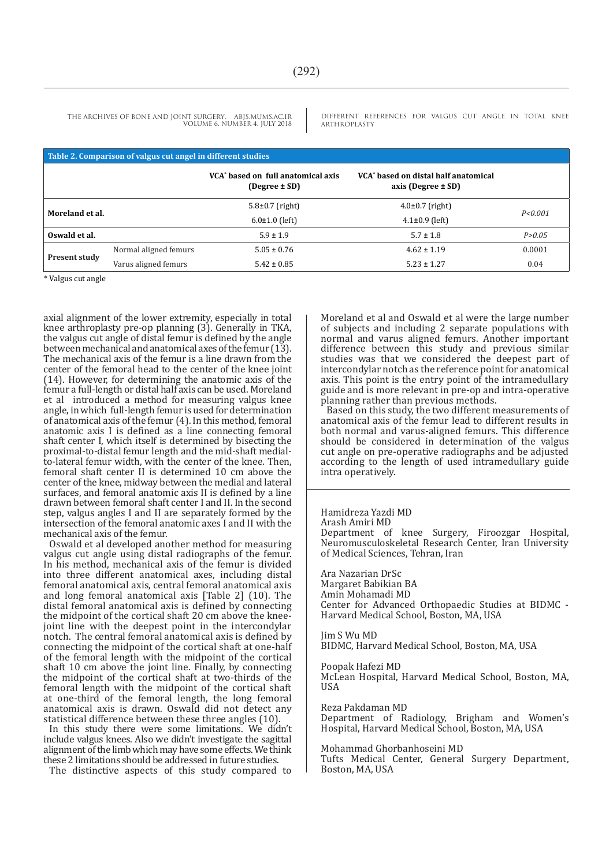DIFFERENT REFERENCES FOR VALGUS CUT ANGLE IN TOTAL KNEE ARTHROPLASTY

| Table 2. Comparison of valgus cut angel in different studies |                                                                                   |                                                                            |           |  |  |  |  |
|--------------------------------------------------------------|-----------------------------------------------------------------------------------|----------------------------------------------------------------------------|-----------|--|--|--|--|
|                                                              | VCA <sup>*</sup> based on full anatomical axis<br>$(\text{Degree} \pm \text{SD})$ | VCA <sup>*</sup> based on distal half anatomical<br>axis (Degree $\pm$ SD) |           |  |  |  |  |
|                                                              | $5.8 \pm 0.7$ (right)                                                             | $4.0\pm0.7$ (right)                                                        |           |  |  |  |  |
|                                                              | $6.0 \pm 1.0$ (left)                                                              | $4.1 \pm 0.9$ (left)                                                       | P < 0.001 |  |  |  |  |
|                                                              | $5.9 \pm 1.9$                                                                     | $5.7 \pm 1.8$                                                              | P > 0.05  |  |  |  |  |
| Normal aligned femurs                                        | $5.05 \pm 0.76$                                                                   | $4.62 \pm 1.19$                                                            | 0.0001    |  |  |  |  |
| Varus aligned femurs                                         | $5.42 \pm 0.85$                                                                   | $5.23 \pm 1.27$                                                            | 0.04      |  |  |  |  |
|                                                              |                                                                                   |                                                                            |           |  |  |  |  |

\* Valgus cut angle

axial alignment of the lower extremity, especially in total knee arthroplasty pre-op planning (3). Generally in TKA, the valgus cut angle of distal femur is defined by the angle between mechanical and anatomical axes of the femur (13). The mechanical axis of the femur is a line drawn from the center of the femoral head to the center of the knee joint (14). However, for determining the anatomic axis of the femur a full-length or distal half axis can be used. Moreland et al introduced a method for measuring valgus knee angle, in which full-length femur is used for determination of anatomical axis of the femur (4). In this method, femoral anatomic axis I is defined as a line connecting femoral shaft center I, which itself is determined by bisecting the proximal-to-distal femur length and the mid-shaft medialto-lateral femur width, with the center of the knee. Then, femoral shaft center II is determined 10 cm above the center of the knee, midway between the medial and lateral surfaces, and femoral anatomic axis II is defined by a line drawn between femoral shaft center I and II. In the second step, valgus angles I and II are separately formed by the intersection of the femoral anatomic axes I and II with the mechanical axis of the femur.

Oswald et al developed another method for measuring valgus cut angle using distal radiographs of the femur. In his method, mechanical axis of the femur is divided into three different anatomical axes, including distal femoral anatomical axis, central femoral anatomical axis and long femoral anatomical axis [Table 2] (10). The distal femoral anatomical axis is defined by connecting the midpoint of the cortical shaft 20 cm above the kneejoint line with the deepest point in the intercondylar notch. The central femoral anatomical axis is defined by connecting the midpoint of the cortical shaft at one-half of the femoral length with the midpoint of the cortical shaft 10 cm above the joint line. Finally, by connecting the midpoint of the cortical shaft at two-thirds of the femoral length with the midpoint of the cortical shaft at one-third of the femoral length, the long femoral anatomical axis is drawn. Oswald did not detect any statistical difference between these three angles (10).

In this study there were some limitations. We didn't include valgus knees. Also we didn't investigate the sagittal alignment of the limb which may have some effects. We think these 2 limitations should be addressed in future studies.

The distinctive aspects of this study compared to

Moreland et al and Oswald et al were the large number of subjects and including 2 separate populations with normal and varus aligned femurs. Another important difference between this study and previous similar studies was that we considered the deepest part of intercondylar notch as the reference point for anatomical axis. This point is the entry point of the intramedullary guide and is more relevant in pre-op and intra-operative planning rather than previous methods.

Based on this study, the two different measurements of anatomical axis of the femur lead to different results in both normal and varus-aligned femurs. This difference should be considered in determination of the valgus cut angle on pre-operative radiographs and be adjusted according to the length of used intramedullary guide intra operatively.

Hamidreza Yazdi MD Arash Amiri MD

Department of knee Surgery, Firoozgar Hospital, Neuromusculoskeletal Research Center, Iran University of Medical Sciences, Tehran, Iran

Ara Nazarian DrSc Margaret Babikian BA Amin Mohamadi MD Center for Advanced Orthopaedic Studies at BIDMC - Harvard Medical School, Boston, MA, USA

Jim S Wu MD BIDMC, Harvard Medical School, Boston, MA, USA

Poopak Hafezi MD McLean Hospital, Harvard Medical School, Boston, MA, **USA** 

Reza Pakdaman MD Department of Radiology, Brigham and Women's Hospital, Harvard Medical School, Boston, MA, USA

Mohammad Ghorbanhoseini MD Tufts Medical Center, General Surgery Department, Boston, MA, USA